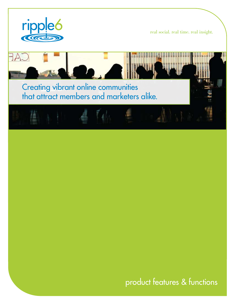

real social. real time. real insight.



product features & functions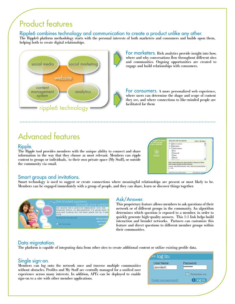# Product features

Ripple6 combines technology and communication to create a product unlike any other.

The Ripple6 platform methodology starts with the personal interests of both marketers and consumers and builds upon them, helping both to create digital relationships.



For marketers. Rich analytics provide insight into how, where and why conversations flow throughout different sites and communities. Ongoing opportunities are created to engage and build relationships with consumers.

For consumers. A more personalized web experience, where users can determine the shape and scope of content they see, and where connections to like-minded people are facilitated for them

# Advanced features

### Ripple.

The Ripple tool provides members with the unique ability to connect and share information in the way that they choose as most relevant. Members can ripple content to groups or individuals, to their own private space (My Stuff), or outside the community via email.

| <b>File 10 schurrs</b>             | Share this with my extwork                                                                  | Jelect Millard |
|------------------------------------|---------------------------------------------------------------------------------------------|----------------|
| <b>SHIP</b><br><b>Lit meterint</b> | 5 P Bell Clarinity                                                                          |                |
|                                    | Ellieh Diara                                                                                |                |
|                                    | Elestomagace                                                                                |                |
|                                    | Elver.                                                                                      |                |
|                                    | <b>El tiujayott</b>                                                                         |                |
|                                    | <b>Charg</b>                                                                                |                |
|                                    | El bast                                                                                     |                |
|                                    | Elizabeth                                                                                   |                |
|                                    | Enter Drugi Acidresses Separated by Commas to Share<br>with People Outwide of Moniulanchos: |                |
|                                    | susan.anithSoomcast.net,danieljonestycho<br>0.008                                           |                |
|                                    | und Foerner admost tool                                                                     |                |

## Smart groups and invitations.

Smart technology is used to suggest or create connections where meaningful relationships are present or most likely to be. Members can be engaged immediately with a group of people, and they can share, learn or discover things together.



## Ask/Answer.

This proprietary feature allows members to ask questions of their network or of different groups in the community. An algorithm determines which question is exposed to a member, in order to quickly generate high-quality answers. This 1:1 link helps build interaction and broader networks. Partners can customize this feature and direct questions to different member groups within their communities.

## Data migratation.

The platform is capable of integrating data from other sites to create additional content or utilize existing profile data.

## Single sign-on.

Members can log onto the network once and traverse multiple communities without obstacles. Profiles and My Stuff are centrally managed for a unified user experience across many interests. In addition, API's can be deployed to enable sign-on to a site with other member applications.

| $>$ $\log$ in:        |                      |
|-----------------------|----------------------|
| User Name:            | Password:            |
| lJenniferK            | <b>Makakakakakak</b> |
|                       | Remember me          |
| Forgot your password? | $9$ log in           |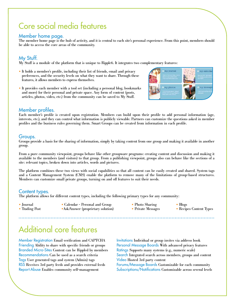# Core social media features

### Member home page.

The member home page is the hub of activity, and it is central to each site's personal experience. From this point, members should be able to access the core areas of the community.

### My Stuff.

My Stuff is a module of the platform that is unique to Ripple6. It integrates two complementary features:

- It holds a member's profile, including their list of friends, email and privacy preferences, and the security levels on what they want to share. Through these features, it allows members to express themselves.
- It provides each member with a tool set (including a personal blog, bookmarks and more) for their personal and private space. Any form of content (posts, articles, photos, video, etc.) from the community can be saved to My Stuff.



### Member profiles.

Each member's profile is created upon registration. Members can build upon their profile to add personal information (age, interests, etc.), and they can control what information is publicly viewable. Partners can customize the questions asked in member profiles and the business rules governing them. Smart Groups can be created from information in each profile.

### Groups.

Groups provide a basis for the sharing of information, simply by taking content from one group and making it available in another group.

From a pure community viewpoint, groups behave like other groupware programs: creating content and discussion and making it available to the members (and visitors) to that group. From a publishing viewpoint, groups also can behave like the sections of a site: relevant topics, broken down into articles, words and pictures.

The platform combines these two views with social capabilities so that all content can be easily created and shared. System tags and a Content Management System (CMS) enable the platform to remove many of the limitations of group-based structures. Members can customize small private groups, turning on and off features to suit their needs.

#### Content types.

The platform allows for different content types, including the following primary types for any community:

- 
- Journal Calendar Personal and Group Photo Sharing Blogs • Trading Post •Ask/Answer (proprietary solution) • Private Messages • Recipes Content Types
- -
- 
- 

# Additional core features

Member Registration Email verification and CAPTCHA Invitations Individual or group invites via address book Branded Micro-Sites Content can be Rippled by members Ratings Supports many systems (e.g., numeric scale) Tags User generated tags and system (Admin) tags Video Hosted 3rd party content Report Abuse Enables community self-management Subscriptions/Notifications Customizable across several levels

Friending Ability to share with specific friends or groups Personal Message Boards With advanced privacy features Recommendations Can be used as a search criteria Search Integrated search across members, groups and content RSS Receives 3rd party feeds and provides external feeds Forums/Message Boards Customizable for each community